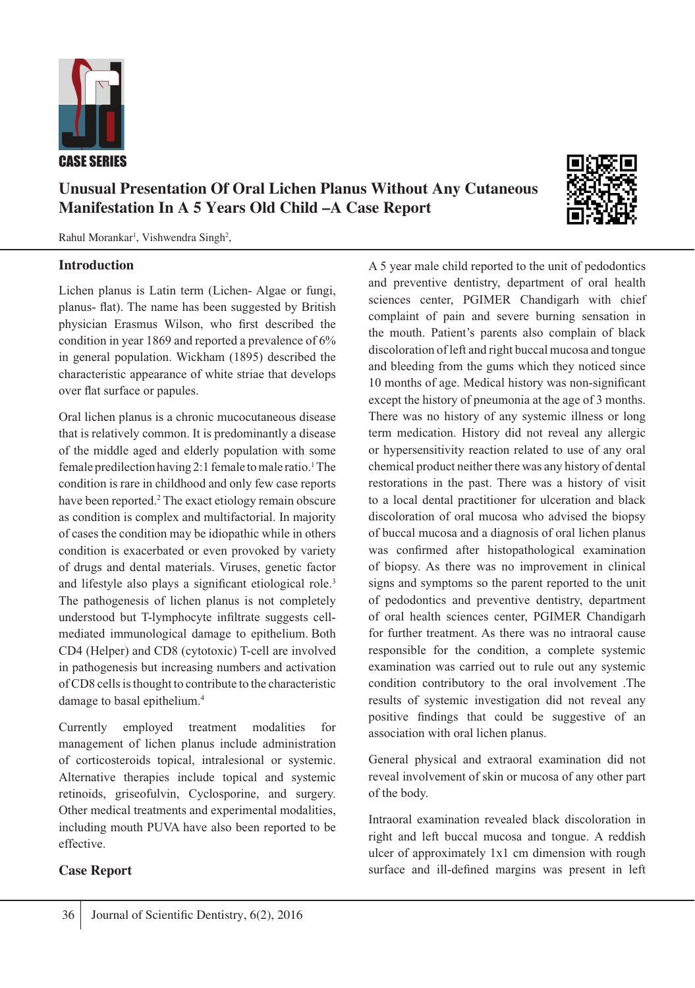

# **Unusual Presentation Of Oral Lichen Planus Without Any Cutaneous Manifestation In A 5 Years Old Child –A Case Report**

Rahul Morankar<sup>1</sup>, Vishwendra Singh<sup>2</sup>,

#### **Introduction**

Lichen planus is Latin term (Lichen- Algae or fungi, planus- flat). The name has been suggested by British physician Erasmus Wilson, who first described the condition in year 1869 and reported a prevalence of 6% in general population. Wickham (1895) described the characteristic appearance of white striae that develops over flat surface or papules.

Oral lichen planus is a chronic mucocutaneous disease that is relatively common. It is predominantly a disease of the middle aged and elderly population with some female predilection having 2:1 female to male ratio.<sup>1</sup> The condition is rare in childhood and only few case reports have been reported.<sup>2</sup> The exact etiology remain obscure as condition is complex and multifactorial. In majority of cases the condition may be idiopathic while in others condition is exacerbated or even provoked by variety of drugs and dental materials. Viruses, genetic factor and lifestyle also plays a significant etiological role.<sup>3</sup> The pathogenesis of lichen planus is not completely understood but T-lymphocyte infiltrate suggests cellmediated immunological damage to epithelium. Both CD4 (Helper) and CD8 (cytotoxic) T-cell are involved in pathogenesis but increasing numbers and activation of CD8 cells is thought to contribute to the characteristic damage to basal epithelium.4

Currently employed treatment modalities for management of lichen planus include administration of corticosteroids topical, intralesional or systemic. Alternative therapies include topical and systemic retinoids, griseofulvin, Cyclosporine, and surgery. Other medical treatments and experimental modalities, including mouth PUVA have also been reported to be effective.

## **Case Report**

A 5 year male child reported to the unit of pedodontics and preventive dentistry, department of oral health

sciences center, PGIMER Chandigarh with chief complaint of pain and severe burning sensation in the mouth. Patient's parents also complain of black discoloration of left and right buccal mucosa and tongue and bleeding from the gums which they noticed since 10 months of age. Medical history was non-significant except the history of pneumonia at the age of 3 months. There was no history of any systemic illness or long term medication. History did not reveal any allergic or hypersensitivity reaction related to use of any oral chemical product neither there was any history of dental restorations in the past. There was a history of visit to a local dental practitioner for ulceration and black discoloration of oral mucosa who advised the biopsy of buccal mucosa and a diagnosis of oral lichen planus was confirmed after histopathological examination of biopsy. As there was no improvement in clinical signs and symptoms so the parent reported to the unit of pedodontics and preventive dentistry, department of oral health sciences center, PGIMER Chandigarh for further treatment. As there was no intraoral cause responsible for the condition, a complete systemic examination was carried out to rule out any systemic condition contributory to the oral involvement .The results of systemic investigation did not reveal any positive findings that could be suggestive of an association with oral lichen planus.

General physical and extraoral examination did not reveal involvement of skin or mucosa of any other part of the body.

Intraoral examination revealed black discoloration in right and left buccal mucosa and tongue. A reddish ulcer of approximately 1x1 cm dimension with rough surface and ill-defined margins was present in left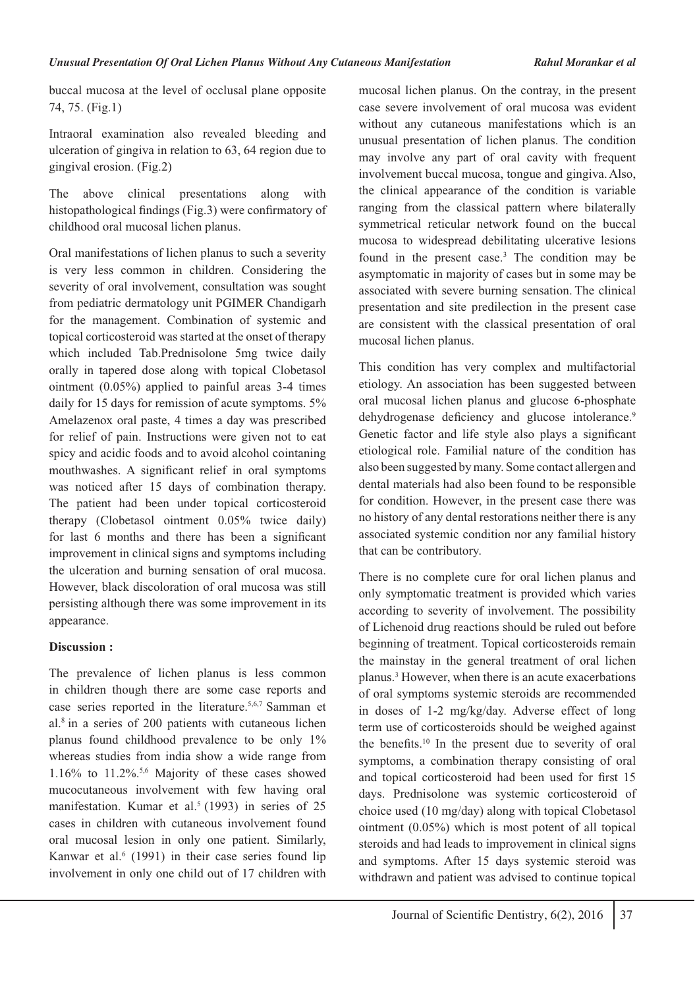buccal mucosa at the level of occlusal plane opposite 74, 75. (Fig.1)

Intraoral examination also revealed bleeding and ulceration of gingiva in relation to 63, 64 region due to gingival erosion. (Fig.2)

The above clinical presentations along with histopathological findings (Fig.3) were confirmatory of childhood oral mucosal lichen planus.

Oral manifestations of lichen planus to such a severity is very less common in children. Considering the severity of oral involvement, consultation was sought from pediatric dermatology unit PGIMER Chandigarh for the management. Combination of systemic and topical corticosteroid was started at the onset of therapy which included Tab.Prednisolone 5mg twice daily orally in tapered dose along with topical Clobetasol ointment (0.05%) applied to painful areas 3-4 times daily for 15 days for remission of acute symptoms. 5% Amelazenox oral paste, 4 times a day was prescribed for relief of pain. Instructions were given not to eat spicy and acidic foods and to avoid alcohol cointaning mouthwashes. A significant relief in oral symptoms was noticed after 15 days of combination therapy. The patient had been under topical corticosteroid therapy (Clobetasol ointment 0.05% twice daily) for last 6 months and there has been a significant improvement in clinical signs and symptoms including the ulceration and burning sensation of oral mucosa. However, black discoloration of oral mucosa was still persisting although there was some improvement in its appearance.

# **Discussion :**

The prevalence of lichen planus is less common in children though there are some case reports and case series reported in the literature.5,6,7 Samman et al.8 in a series of 200 patients with cutaneous lichen planus found childhood prevalence to be only 1% whereas studies from india show a wide range from  $1.16\%$  to  $11.2\%$ <sup>5,6</sup> Majority of these cases showed mucocutaneous involvement with few having oral manifestation. Kumar et al.<sup>5</sup> (1993) in series of 25 cases in children with cutaneous involvement found oral mucosal lesion in only one patient. Similarly, Kanwar et al.<sup>6</sup> (1991) in their case series found lip involvement in only one child out of 17 children with

mucosal lichen planus. On the contray, in the present case severe involvement of oral mucosa was evident without any cutaneous manifestations which is an unusual presentation of lichen planus. The condition may involve any part of oral cavity with frequent involvement buccal mucosa, tongue and gingiva.Also, the clinical appearance of the condition is variable ranging from the classical pattern where bilaterally symmetrical reticular network found on the buccal mucosa to widespread debilitating ulcerative lesions found in the present case.<sup>3</sup> The condition may be asymptomatic in majority of cases but in some may be associated with severe burning sensation. The clinical presentation and site predilection in the present case are consistent with the classical presentation of oral mucosal lichen planus.

This condition has very complex and multifactorial etiology. An association has been suggested between oral mucosal lichen planus and glucose 6-phosphate dehydrogenase deficiency and glucose intolerance.<sup>9</sup> Genetic factor and life style also plays a significant etiological role. Familial nature of the condition has also been suggested by many. Some contact allergen and dental materials had also been found to be responsible for condition. However, in the present case there was no history of any dental restorations neither there is any associated systemic condition nor any familial history that can be contributory.

There is no complete cure for oral lichen planus and only symptomatic treatment is provided which varies according to severity of involvement. The possibility of Lichenoid drug reactions should be ruled out before beginning of treatment. Topical corticosteroids remain the mainstay in the general treatment of oral lichen planus.3 However, when there is an acute exacerbations of oral symptoms systemic steroids are recommended in doses of 1-2 mg/kg/day. Adverse effect of long term use of corticosteroids should be weighed against the benefits.10 In the present due to severity of oral symptoms, a combination therapy consisting of oral and topical corticosteroid had been used for first 15 days. Prednisolone was systemic corticosteroid of choice used (10 mg/day) along with topical Clobetasol ointment (0.05%) which is most potent of all topical steroids and had leads to improvement in clinical signs and symptoms. After 15 days systemic steroid was withdrawn and patient was advised to continue topical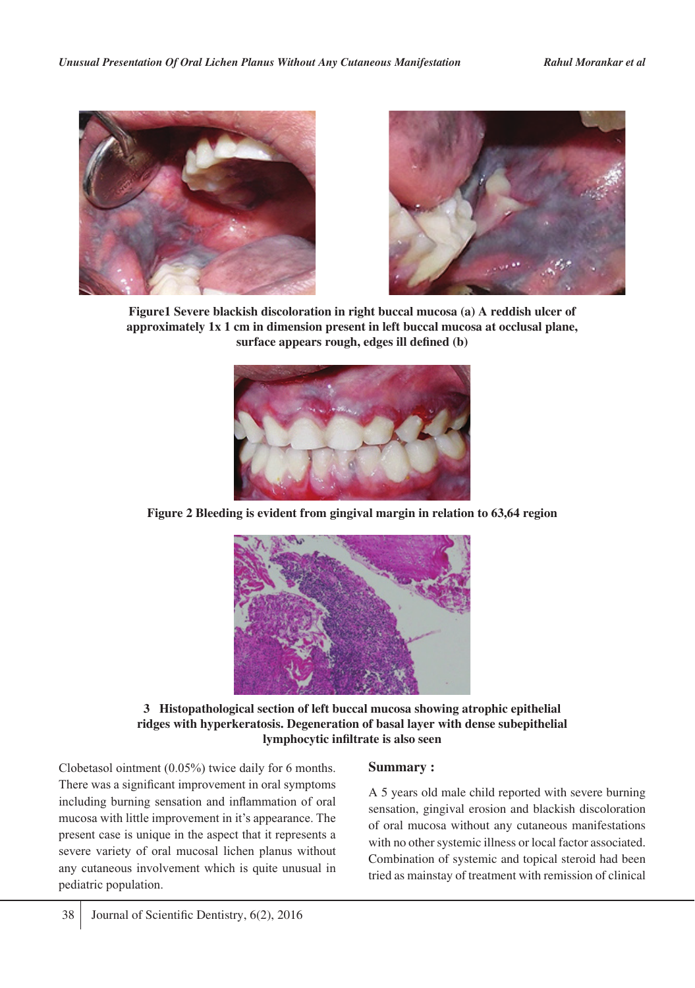



**Figure1 Severe blackish discoloration in right buccal mucosa (a) A reddish ulcer of approximately 1x 1 cm in dimension present in left buccal mucosa at occlusal plane, surface appears rough, edges ill defined (b)** 



**Figure 2 Bleeding is evident from gingival margin in relation to 63,64 region** 



**3 Histopathological section of left buccal mucosa showing atrophic epithelial ridges with hyperkeratosis. Degeneration of basal layer with dense subepithelial lymphocytic infiltrate is also seen**

Clobetasol ointment (0.05%) twice daily for 6 months. There was a significant improvement in oral symptoms including burning sensation and inflammation of oral mucosa with little improvement in it's appearance. The present case is unique in the aspect that it represents a severe variety of oral mucosal lichen planus without any cutaneous involvement which is quite unusual in pediatric population.

#### **Summary :**

A 5 years old male child reported with severe burning sensation, gingival erosion and blackish discoloration of oral mucosa without any cutaneous manifestations with no other systemic illness or local factor associated. Combination of systemic and topical steroid had been tried as mainstay of treatment with remission of clinical